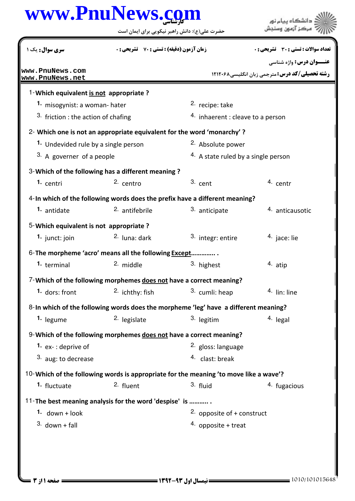## كارشناسي **[www.PnuNews.com](http://www.PnuNews.com)**

حضرت علي(ع): دانش راهبر نيكويي براي ايمان است

| <b>سری سوال :</b> یک ۱                                                                | <b>زمان آزمون (دقیقه) : تستی : 70 ٪ تشریحی : 0</b> |                                                | تعداد سوالات : تستي : 30 ٪ تشريحي : 0                |  |
|---------------------------------------------------------------------------------------|----------------------------------------------------|------------------------------------------------|------------------------------------------------------|--|
|                                                                                       |                                                    |                                                | <b>عنـــوان درس:</b> واژه شناسی                      |  |
| www.PnuNews.com<br>www.PnuNews.net                                                    |                                                    |                                                | <b>رشته تحصیلی/کد درس: مترجمی زبان انگلیسی/12120</b> |  |
| 1-Which equivalent is not appropriate ?                                               |                                                    |                                                |                                                      |  |
| 1. misogynist: a woman- hater                                                         |                                                    | <sup>2.</sup> recipe: take                     |                                                      |  |
| 3. friction : the action of chafing                                                   |                                                    | $4.$ inhaerent : cleave to a person            |                                                      |  |
| 2- Which one is not an appropriate equivalent for the word 'monarchy'?                |                                                    |                                                |                                                      |  |
| 1. Undevided rule by a single person                                                  |                                                    | 2. Absolute power                              |                                                      |  |
| 3. A governer of a people                                                             |                                                    | <sup>4.</sup> A state ruled by a single person |                                                      |  |
| 3-Which of the following has a different meaning?                                     |                                                    |                                                |                                                      |  |
| <sup>1.</sup> centri                                                                  | $2.$ centro                                        | $3.$ cent                                      | 4. centr                                             |  |
| 4-In which of the following words does the prefix have a different meaning?           |                                                    |                                                |                                                      |  |
| 1. antidate                                                                           | 2. antifebrile                                     | 3. anticipate                                  | 4. anticausotic                                      |  |
| 5-Which equivalent is not appropriate?                                                |                                                    |                                                |                                                      |  |
| 1. junct: join                                                                        | <sup>2.</sup> luna: dark                           | 3. integr: entire                              | <sup>4</sup> jace: lie                               |  |
| 6- The morpheme 'acro' means all the following Except                                 |                                                    |                                                |                                                      |  |
| 1. terminal                                                                           | 2. middle                                          | 3. highest                                     | 4. atip                                              |  |
| 7-Which of the following morphemes does not have a correct meaning?                   |                                                    |                                                |                                                      |  |
| 1. dors: front                                                                        | $2.$ ichthy: fish                                  | 3. cumli: heap                                 | 4. lin: line                                         |  |
| 8-In which of the following words does the morpheme 'leg' have a different meaning?   |                                                    |                                                |                                                      |  |
| 1. legume                                                                             | <sup>2.</sup> legislate                            | 3. legitim                                     | 4. legal                                             |  |
| 9-Which of the following morphemes does not have a correct meaning?                   |                                                    |                                                |                                                      |  |
| 1. $ex-$ : deprive of                                                                 |                                                    | 2. gloss: language                             |                                                      |  |
| 3. aug: to decrease                                                                   |                                                    | 4. clast: break                                |                                                      |  |
| 10-Which of the following words is appropriate for the meaning 'to move like a wave'? |                                                    |                                                |                                                      |  |
| 1. fluctuate                                                                          | 2. fluent                                          | 3. fluid                                       | 4. fugacious                                         |  |
| 11-The best meaning analysis for the word 'despise' is                                |                                                    |                                                |                                                      |  |
| 1. $down + look$                                                                      |                                                    | 2. opposite of $+$ construct                   |                                                      |  |
| $3.$ down + fall                                                                      |                                                    | 4. opposite + treat                            |                                                      |  |
|                                                                                       |                                                    |                                                |                                                      |  |
|                                                                                       |                                                    |                                                |                                                      |  |

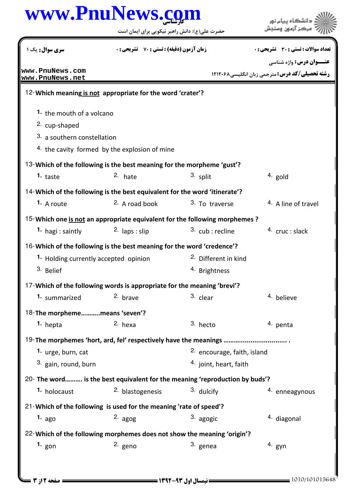## كارشناسي **[www.PnuNews.com](http://www.PnuNews.com)**

حضرت علي(ع): دانش راهبر نيكويي براي ايمان است



.<br>: دانشڪاه پيا<mark>ء نور</mark><br>: مرڪز آزمون وسنڊش